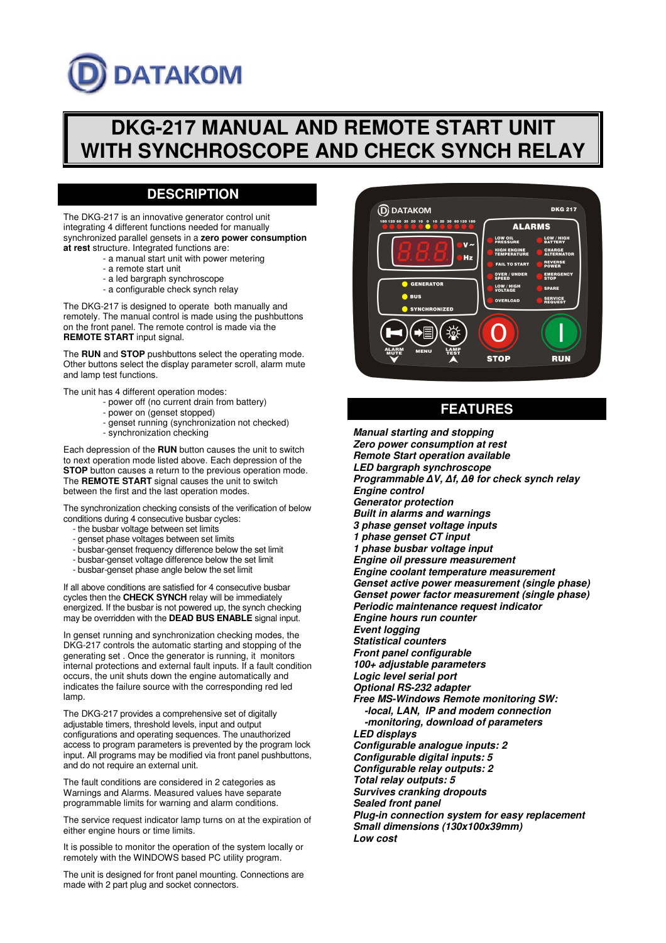# **DATAKOM**

# **DKG-217 MANUAL AND REMOTE START UNIT WITH SYNCHROSCOPE AND CHECK SYNCH RELAY**

## **DESCRIPTION**

The DKG-217 is an innovative generator control unit integrating 4 different functions needed for manually synchronized parallel gensets in a **zero power consumption at rest** structure. Integrated functions are:

- a manual start unit with power metering
- a remote start unit
- a led bargraph synchroscope
- a configurable check synch relay

The DKG-217 is designed to operate both manually and remotely. The manual control is made using the pushbuttons on the front panel. The remote control is made via the **REMOTE START** input signal.

The **RUN** and **STOP** pushbuttons select the operating mode. Other buttons select the display parameter scroll, alarm mute and lamp test functions.

The unit has 4 different operation modes:

- power off (no current drain from battery)
- power on (genset stopped)
- genset running (synchronization not checked)
- synchronization checking

Each depression of the **RUN** button causes the unit to switch to next operation mode listed above. Each depression of the **STOP** button causes a return to the previous operation mode. The **REMOTE START** signal causes the unit to switch between the first and the last operation modes.

The synchronization checking consists of the verification of below conditions during 4 consecutive busbar cycles:

- the busbar voltage between set limits
- genset phase voltages between set limits
- busbar-genset frequency difference below the set limit
- busbar-genset voltage difference below the set limit
- busbar-genset phase angle below the set limit

If all above conditions are satisfied for 4 consecutive busbar cycles then the **CHECK SYNCH** relay will be immediately energized. If the busbar is not powered up, the synch checking may be overridden with the **DEAD BUS ENABLE** signal input.

In genset running and synchronization checking modes, the DKG-217 controls the automatic starting and stopping of the generating set . Once the generator is running, it monitors internal protections and external fault inputs. If a fault condition occurs, the unit shuts down the engine automatically and indicates the failure source with the corresponding red led lamp.

The DKG-217 provides a comprehensive set of digitally adjustable timers, threshold levels, input and output configurations and operating sequences. The unauthorized access to program parameters is prevented by the program lock input. All programs may be modified via front panel pushbuttons, and do not require an external unit.

The fault conditions are considered in 2 categories as Warnings and Alarms. Measured values have separate programmable limits for warning and alarm conditions.

The service request indicator lamp turns on at the expiration of either engine hours or time limits.

It is possible to monitor the operation of the system locally or remotely with the WINDOWS based PC utility program.

The unit is designed for front panel mounting. Connections are made with 2 part plug and socket connectors.



### **FEATURES**

**Manual starting and stopping Zero power consumption at rest Remote Start operation available LED bargraph synchroscope Programmable** ∆**V,** ∆**f,** ∆θ **for check synch relay Engine control Generator protection Built in alarms and warnings 3 phase genset voltage inputs 1 phase genset CT input 1 phase busbar voltage input Engine oil pressure measurement Engine coolant temperature measurement Genset active power measurement (single phase) Genset power factor measurement (single phase) Periodic maintenance request indicator Engine hours run counter Event logging Statistical counters Front panel configurable 100+ adjustable parameters Logic level serial port Optional RS-232 adapter Free MS-Windows Remote monitoring SW: -local, LAN, IP and modem connection -monitoring, download of parameters LED displays Configurable analogue inputs: 2 Configurable digital inputs: 5 Configurable relay outputs: 2 Total relay outputs: 5 Survives cranking dropouts Sealed front panel Plug-in connection system for easy replacement Small dimensions (130x100x39mm) Low cost**